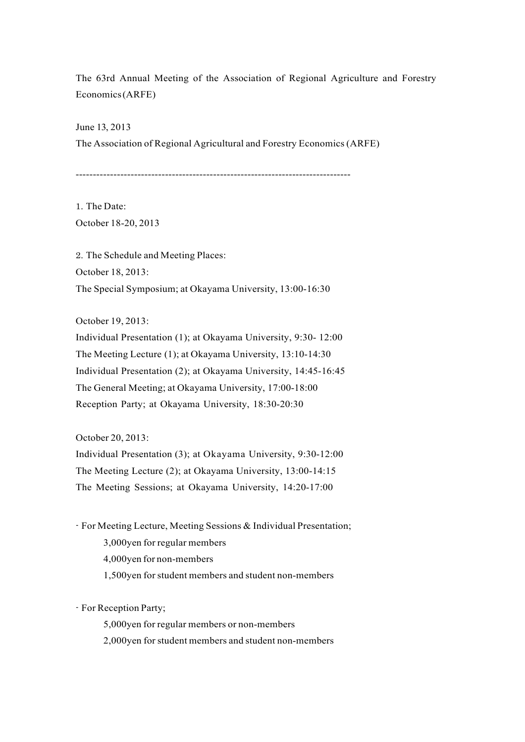The 63rd Annual Meeting of the Association of Regional Agriculture and Forestry Economics(ARFE)

June 13, 2013 The Association of Regional Agricultural and Forestry Economics (ARFE)

--------------------------------------------------------------------------------

1. The Date: October 18-20, 2013

2. The Schedule and Meeting Places: October 18, 2013: The Special Symposium; at Okayama University, 13:00-16:30

October 19, 2013:

Individual Presentation (1); at Okayama University, 9:30- 12:00 The Meeting Lecture (1); at Okayama University, 13:10-14:30 Individual Presentation (2); at Okayama University, 14:45-16:45 The General Meeting; at Okayama University, 17:00-18:00 Reception Party; at Okayama University, 18:30-20:30

October 20, 2013:

Individual Presentation (3); at Okayama University, 9:30-12:00 The Meeting Lecture (2); at Okayama University, 13:00-14:15 The Meeting Sessions; at Okayama University, 14:20-17:00

- For Meeting Lecture, Meeting Sessions & Individual Presentation; 3,000yen for regular members 4,000yen for non-members 1,500yen forstudent members and student non-members

- For Reception Party;

5,000yen for regular members or non-members

2,000yen for student members and student non-members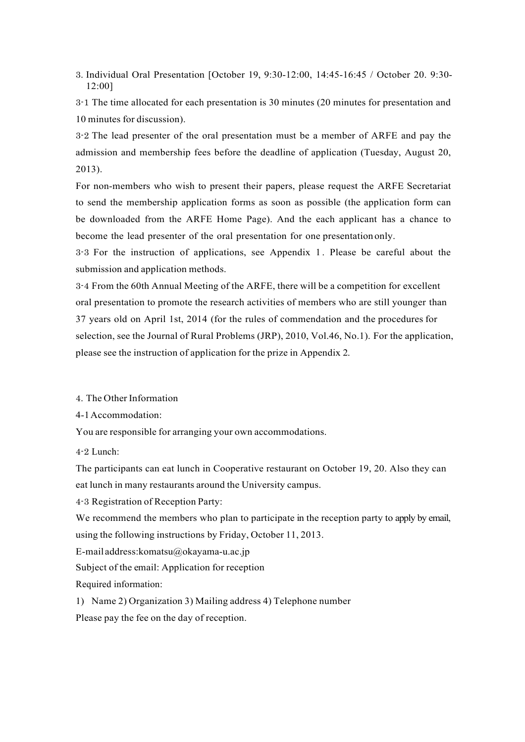3. Individual Oral Presentation [October 19, 9:30-12:00, 14:45-16:45 / October 20. 9:30- 12:00]

3-1 The time allocated for each presentation is 30 minutes (20 minutes for presentation and 10 minutes for discussion).

3-2 The lead presenter of the oral presentation must be a member of ARFE and pay the admission and membership fees before the deadline of application (Tuesday, August 20, 2013).

For non-members who wish to present their papers, please request the ARFE Secretariat to send the membership application forms as soon as possible (the application form can be downloaded from the ARFE Home Page). And the each applicant has a chance to become the lead presenter of the oral presentation for one presentationonly.

3-3 For the instruction of applications, see Appendix 1 . Please be careful about the submission and application methods.

3-4 From the 60th Annual Meeting of the ARFE, there will be a competition for excellent oral presentation to promote the research activities of members who are still younger than 37 years old on April 1st, 2014 (for the rules of commendation and the procedures for selection, see the Journal of Rural Problems (JRP), 2010, Vol.46, No.1). For the application, please see the instruction of application for the prize in Appendix 2.

4. The Other Information

4-1Accommodation:

You are responsible for arranging your own accommodations.

4-2 Lunch:

The participants can eat lunch in Cooperative restaurant on October 19, 20. Also they can eat lunch in many restaurants around the University campus.

4-3 Registration of Reception Party:

We recommend the members who plan to participate in the reception party to apply by email, using the following instructions by Friday, October 11, 2013.

E-mail address:komatsu@okayama-u.ac.jp

Subject of the email: Application for reception

Required information:

1) Name 2) Organization 3) Mailing address 4) Telephone number

Please pay the fee on the day of reception.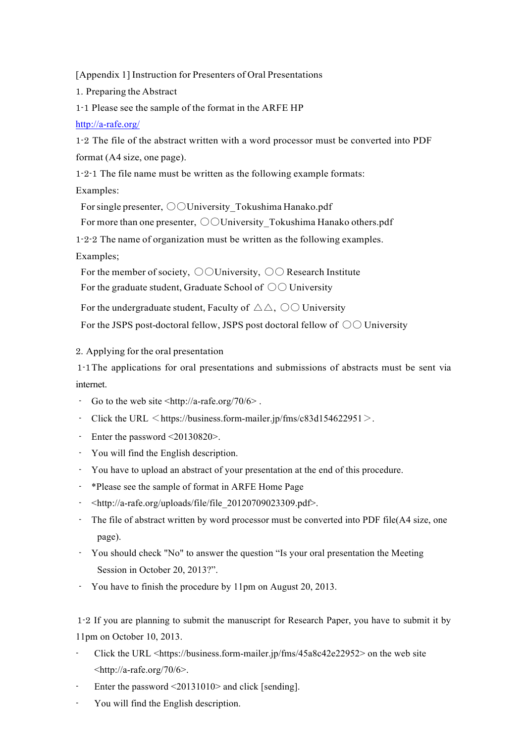[Appendix 1] Instruction for Presenters of Oral Presentations

1. Preparing the Abstract

1-1 Please see the sample of the format in the ARFE HP

## http://a-rafe.org/

1-2 The file of the abstract written with a word processor must be converted into PDF format (A4 size, one page).

1-2-1 The file name must be written as the following example formats:

Examples:

For single presenter,  $\bigcirc$ University Tokushima Hanako.pdf

For more than one presenter,  $\bigcirc$  University Tokushima Hanako others.pdf

1-2-2 The name of organization must be written as the following examples.

Examples;

For the member of society,  $\bigcirc$  University,  $\bigcirc$  Research Institute For the graduate student, Graduate School of  $\circlearrowright \circlearrowright$  University

For the undergraduate student, Faculty of  $\triangle \triangle$ ,  $\odot \odot$  University

For the JSPS post-doctoral fellow, JSPS post doctoral fellow of  $\circlearrowright \circlearrowright$  University

2. Applying for the oral presentation

1-1The applications for oral presentations and submissions of abstracts must be sent via internet.

- Go to the web site  $\langle \frac{http://a-rafe.org/70}{6} \rangle$ .
- Click the URL  $\leq$  https://business.form-mailer.jp/fms/c83d154622951 $>$ .
- Enter the password <20130820>.
- You will find the English description.
- You have to upload an abstract of your presentation at the end of this procedure.
- \*Please see the sample of format in ARFE Home Page
- <http://a-rafe.org/uploads/file/file\_20120709023309.pdf>.
- The file of abstract written by word processor must be converted into PDF file(A4 size, one page).
- You should check "No" to answer the question "Is your oral presentation the Meeting Session in October 20, 2013?".
- You have to finish the procedure by 11pm on August 20, 2013.

1-2 If you are planning to submit the manuscript for Research Paper, you have to submit it by 11pm on October 10, 2013.

- Click the URL <https://business.form-mailer.jp/fms/45a8c42e22952> on the web site  $\langle$ http://a-rafe.org/70/6>.
- Enter the password  $\leq$ 20131010 $>$  and click [sending].
- You will find the English description.